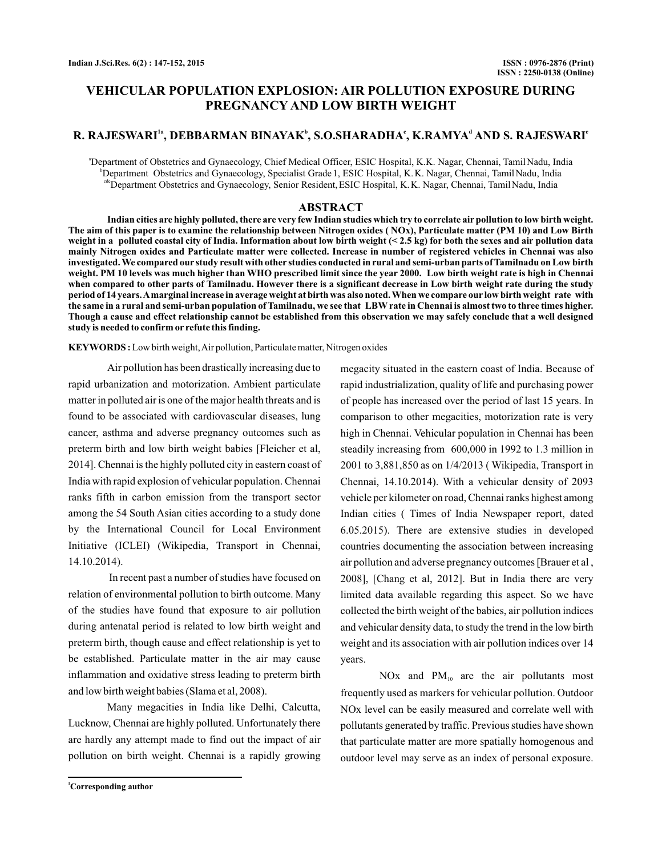# **VEHICULAR POPULATION EXPLOSION: AIR POLLUTION EXPOSURE DURING PREGNANCY AND LOW BIRTH WEIGHT**

# **R. RAJESWARI , DEBBARMAN BINAYAK , S.O.SHARADHA , K.RAMYA AND S. RAJESWARI 1a b c d <sup>e</sup>**

<sup>a</sup>Department of Obstetrics and Gynaecology, Chief Medical Officer, ESIC Hospital, K.K. Nagar, Chennai, TamilNadu, India b Department Obstetrics and Gynaecology, Specialist Grade1, ESIC Hospital, K.K. Nagar, Chennai, TamilNadu, India c<sup>de</sup>Department Obstetrics and Gynaecology, Senior Resident, ESIC Hospital, K.K. Nagar, Chennai, TamilNadu, India

### **ABSTRACT**

**Indian cities are highly polluted, there are very few Indian studies which try to correlate air pollution to low birth weight. The aim of this paper is to examine the relationship between Nitrogen oxides ( NOx), Particulate matter (PM 10) and Low Birth weight in a polluted coastal city of India. Information about low birth weight (< 2.5 kg) for both the sexes and air pollution data mainly Nitrogen oxides and Particulate matter were collected. Increase in number of registered vehicles in Chennai was also investigated. We compared our study result with other studies conducted in rural and semi-urban parts of Tamilnadu on Low birth weight. PM 10 levels was much higher than WHO prescribed limit since the year 2000. Low birth weight rate is high in Chennai when compared to other parts of Tamilnadu. However there is a significant decrease in Low birth weight rate during the study period of 14 years.Amarginal increase in average weight at birth was also noted. When we compare our low birth weight rate with the same in a rural and semi-urban population of Tamilnadu, we see that LBW rate in Chennai is almost two to three times higher. Though a cause and effect relationship cannot be established from this observation we may safely conclude that a well designed study is needed to confirm or refute this finding.**

**KEYWORDS :** Low birth weight,Air pollution, Particulate matter, Nitrogen oxides

Air pollution has been drastically increasing due to rapid urbanization and motorization. Ambient particulate matter in polluted air is one of the major health threats and is found to be associated with cardiovascular diseases, lung cancer, asthma and adverse pregnancy outcomes such as preterm birth and low birth weight babies [Fleicher et al, 2014]. Chennai is the highly polluted city in eastern coast of India with rapid explosion of vehicular population. Chennai ranks fifth in carbon emission from the transport sector among the 54 South Asian cities according to a study done by the International Council for Local Environment Initiative (ICLEI) (Wikipedia, Transport in Chennai, 14.10.2014).

In recent past a number of studies have focused on relation of environmental pollution to birth outcome. Many of the studies have found that exposure to air pollution during antenatal period is related to low birth weight and preterm birth, though cause and effect relationship is yet to be established. Particulate matter in the air may cause inflammation and oxidative stress leading to preterm birth and low birth weight babies (Slama et al, 2008).

Many megacities in India like Delhi, Calcutta, Lucknow, Chennai are highly polluted. Unfortunately there are hardly any attempt made to find out the impact of air pollution on birth weight. Chennai is a rapidly growing

steadily increasing from 600,000 in 1992 to 1.3 million in 2001 to 3,881,850 as on 1/4/2013 ( Wikipedia, Transport in Chennai, 14.10.2014). With a vehicular density of 2093 vehicle per kilometer on road, Chennai ranks highest among Indian cities ( Times of India Newspaper report, dated 6.05.2015). There are extensive studies in developed countries documenting the association between increasing air pollution and adverse pregnancy outcomes [Brauer et al , 2008], [Chang et al, 2012]. But in India there are very limited data available regarding this aspect. So we have collected the birth weight of the babies, air pollution indices and vehicular density data, to study the trend in the low birth weight and its association with air pollution indices over 14 years. NOx and  $PM_{10}$  are the air pollutants most

megacity situated in the eastern coast of India. Because of rapid industrialization, quality of life and purchasing power of people has increased over the period of last 15 years. In comparison to other megacities, motorization rate is very high in Chennai. Vehicular population in Chennai has been

frequently used as markers for vehicular pollution. Outdoor NOx level can be easily measured and correlate well with pollutants generated by traffic. Previous studies have shown that particulate matter are more spatially homogenous and outdoor level may serve as an index of personal exposure.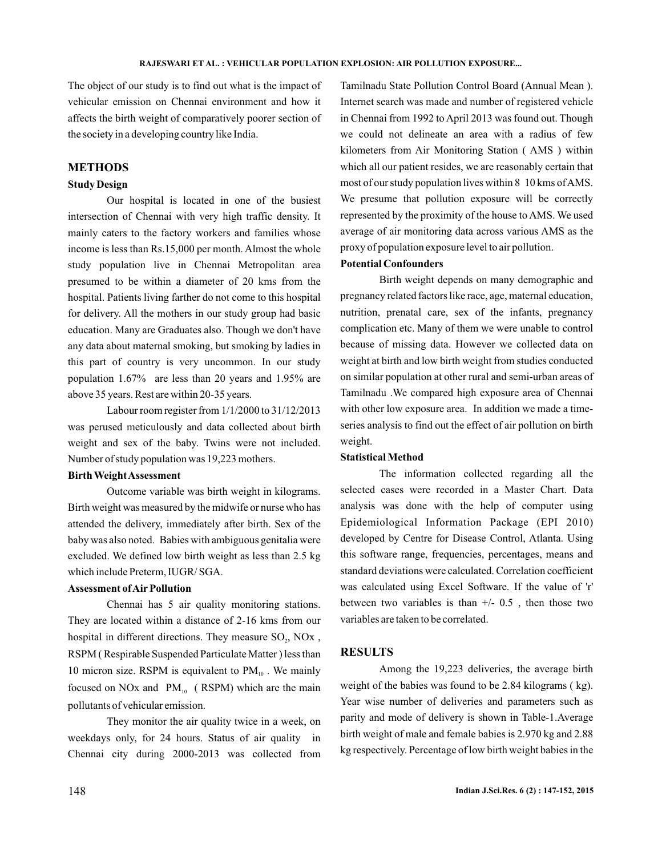The object of our study is to find out what is the impact of vehicular emission on Chennai environment and how it affects the birth weight of comparatively poorer section of the society in a developing country like India.

### **METHODS**

#### **Study Design**

Our hospital is located in one of the busiest intersection of Chennai with very high traffic density. It mainly caters to the factory workers and families whose income is less than Rs.15,000 per month. Almost the whole study population live in Chennai Metropolitan area presumed to be within a diameter of 20 kms from the hospital. Patients living farther do not come to this hospital for delivery. All the mothers in our study group had basic education. Many are Graduates also. Though we don't have any data about maternal smoking, but smoking by ladies in this part of country is very uncommon. In our study population 1.67% are less than 20 years and 1.95% are above 35 years. Rest are within 20-35 years.

Labour room register from 1/1/2000 to 31/12/2013 was perused meticulously and data collected about birth weight and sex of the baby. Twins were not included. Number of study population was 19,223 mothers.

## **Birth WeightAssessment**

Outcome variable was birth weight in kilograms. Birth weight was measured by the midwife or nurse who has attended the delivery, immediately after birth. Sex of the baby was also noted. Babies with ambiguous genitalia were excluded. We defined low birth weight as less than 2.5 kg which include Preterm, IUGR/ SGA.

## **Assessment ofAir Pollution**

Chennai has 5 air quality monitoring stations. They are located within a distance of 2-16 kms from our hospital in different directions. They measure  $SO_2$ ,  $NOx$ , RSPM ( Respirable Suspended Particulate Matter ) less than 10 micron size. RSPM is equivalent to  $PM_{10}$ . We mainly focused on NOx and  $PM_{10}$  (RSPM) which are the main pollutants of vehicular emission.

They monitor the air quality twice in a week, on weekdays only, for 24 hours. Status of air quality in Chennai city during 2000-2013 was collected from Tamilnadu State Pollution Control Board (Annual Mean ). Internet search was made and number of registered vehicle in Chennai from 1992 to April 2013 was found out. Though we could not delineate an area with a radius of few kilometers from Air Monitoring Station ( AMS ) within which all our patient resides, we are reasonably certain that most of our study population lives within 8 10 kms ofAMS. We presume that pollution exposure will be correctly represented by the proximity of the house to AMS. We used average of air monitoring data across various AMS as the proxy of population exposure level to air pollution.

## **Potential Confounders**

Birth weight depends on many demographic and pregnancy related factors like race, age, maternal education, nutrition, prenatal care, sex of the infants, pregnancy complication etc. Many of them we were unable to control because of missing data. However we collected data on weight at birth and low birth weight from studies conducted on similar population at other rural and semi-urban areas of Tamilnadu .We compared high exposure area of Chennai with other low exposure area. In addition we made a timeseries analysis to find out the effect of air pollution on birth weight.

#### **Statistical Method**

The information collected regarding all the selected cases were recorded in a Master Chart. Data analysis was done with the help of computer using Epidemiological Information Package (EPI 2010) developed by Centre for Disease Control, Atlanta. Using this software range, frequencies, percentages, means and standard deviations were calculated. Correlation coefficient was calculated using Excel Software. If the value of 'r' between two variables is than  $+/- 0.5$ , then those two variables are taken to be correlated.

#### **RESULTS**

Among the 19,223 deliveries, the average birth weight of the babies was found to be 2.84 kilograms ( kg). Year wise number of deliveries and parameters such as parity and mode of delivery is shown in Table-1.Average birth weight of male and female babies is 2.970 kg and 2.88 kg respectively. Percentage of low birth weight babies in the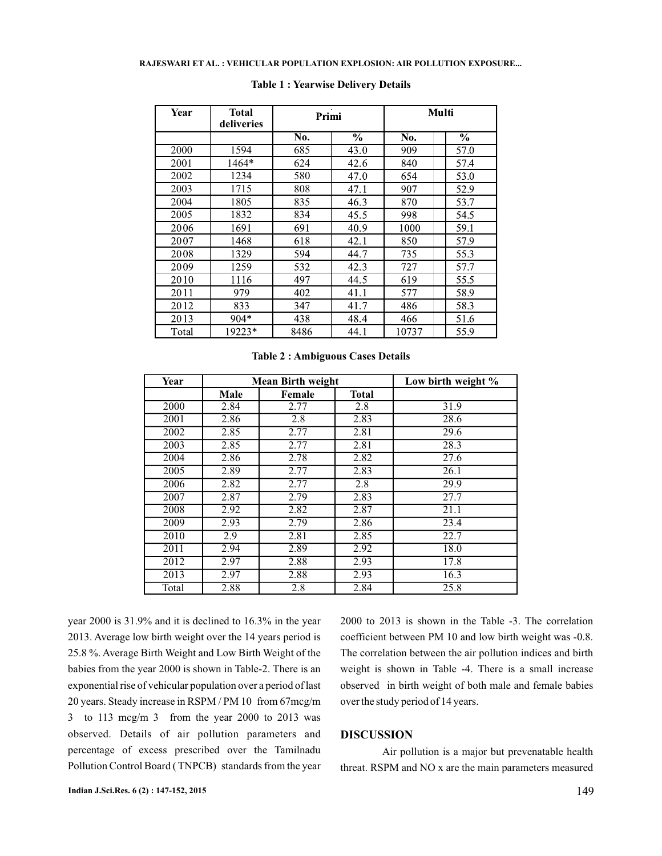| Year  | <b>Total</b><br>deliveries | Primi |                          | Multi |                          |
|-------|----------------------------|-------|--------------------------|-------|--------------------------|
|       |                            | No.   | $\overline{\frac{0}{0}}$ | No.   | $\overline{\frac{0}{0}}$ |
| 2000  | 1594                       | 685   | 43.0                     | 909   | 57.0                     |
| 2001  | 1464*                      | 624   | 42.6                     | 840   | 57.4                     |
| 2002  | 1234                       | 580   | 47.0                     | 654   | 53.0                     |
| 2003  | 1715                       | 808   | 47.1                     | 907   | 52.9                     |
| 2004  | 1805                       | 835   | 46.3                     | 870   | 53.7                     |
| 2005  | 1832                       | 834   | 45.5                     | 998   | 54.5                     |
| 2006  | 1691                       | 691   | 40.9                     | 1000  | 59.1                     |
| 2007  | 1468                       | 618   | 42.1                     | 850   | 57.9                     |
| 2008  | 1329                       | 594   | 44.7                     | 735   | 55.3                     |
| 2009  | 1259                       | 532   | 42.3                     | 727   | 57.7                     |
| 2010  | 1116                       | 497   | 44.5                     | 619   | 55.5                     |
| 2011  | 979                        | 402   | 41.1                     | 577   | 58.9                     |
| 2012  | 833                        | 347   | 41.7                     | 486   | 58.3                     |
| 2013  | $904*$                     | 438   | 48.4                     | 466   | 51.6                     |
| Total | 19223*                     | 8486  | 44.1                     | 10737 | 55.9                     |

#### **Table 1 : Yearwise Delivery Details**

**Table 2 : Ambiguous Cases Details**

| Year  |      | <b>Mean Birth weight</b> |              | Low birth weight % |
|-------|------|--------------------------|--------------|--------------------|
|       | Male | Female                   | <b>Total</b> |                    |
| 2000  | 2.84 | 2.77                     | 2.8          | 31.9               |
| 2001  | 2.86 | 2.8                      | 2.83         | 28.6               |
| 2002  | 2.85 | 2.77                     | 2.81         | 29.6               |
| 2003  | 2.85 | 2.77                     | 2.81         | 28.3               |
| 2004  | 2.86 | 2.78                     | 2.82         | 27.6               |
| 2005  | 2.89 | 2.77                     | 2.83         | 26.1               |
| 2006  | 2.82 | 2.77                     | 2.8          | 29.9               |
| 2007  | 2.87 | 2.79                     | 2.83         | 27.7               |
| 2008  | 2.92 | 2.82                     | 2.87         | 21.1               |
| 2009  | 2.93 | 2.79                     | 2.86         | 23.4               |
| 2010  | 2.9  | 2.81                     | 2.85         | 22.7               |
| 2011  | 2.94 | 2.89                     | 2.92         | 18.0               |
| 2012  | 2.97 | 2.88                     | 2.93         | 17.8               |
| 2013  | 2.97 | 2.88                     | 2.93         | 16.3               |
| Total | 2.88 | 2.8                      | 2.84         | 25.8               |

year 2000 is 31.9% and it is declined to 16.3% in the year 2013. Average low birth weight over the 14 years period is 25.8 %. Average Birth Weight and Low Birth Weight of the babies from the year 2000 is shown in Table-2. There is an exponential rise of vehicular population over a period of last 20 years. Steady increase in RSPM / PM 10 from 67mcg/m 3 to 113 mcg/m 3 from the year 2000 to 2013 was observed. Details of air pollution parameters and percentage of excess prescribed over the Tamilnadu Pollution Control Board ( TNPCB) standards from the year

2000 to 2013 is shown in the Table -3. The correlation coefficient between PM 10 and low birth weight was -0.8. The correlation between the air pollution indices and birth weight is shown in Table -4. There is a small increase observed in birth weight of both male and female babies over the study period of 14 years.

#### **DISCUSSION**

Air pollution is a major but prevenatable health threat. RSPM and NO x are the main parameters measured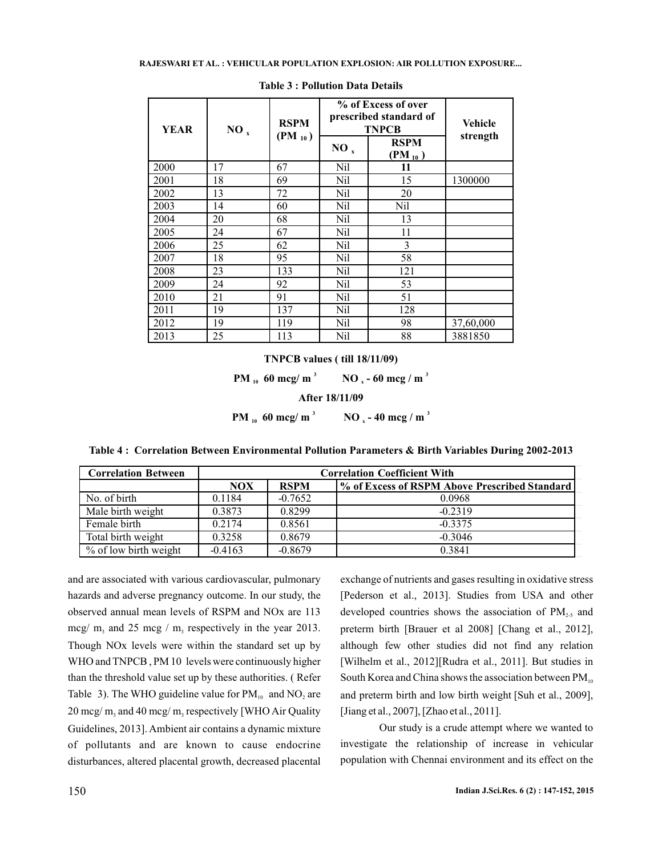| <b>YEAR</b> | $NO_{x}$ | <b>RSPM</b><br>$(PM_{10})$ | % of Excess of over<br>prescribed standard of<br><b>TNPCB</b> |                            | Vehicle   |
|-------------|----------|----------------------------|---------------------------------------------------------------|----------------------------|-----------|
|             |          |                            | $NO_{x}$                                                      | <b>RSPM</b><br>$(PM_{10})$ | strength  |
| 2000        | 17       | 67                         | Nil                                                           | 11                         |           |
| 2001        | 18       | 69                         | <b>Nil</b>                                                    | 15                         | 1300000   |
| 2002        | 13       | 72                         | Nil                                                           | 20                         |           |
| 2003        | 14       | 60                         | Nil                                                           | Nil                        |           |
| 2004        | 20       | 68                         | Nil                                                           | 13                         |           |
| 2005        | 24       | 67                         | Nil                                                           | 11                         |           |
| 2006        | 25       | 62                         | Nil                                                           | 3                          |           |
| 2007        | 18       | 95                         | Nil                                                           | 58                         |           |
| 2008        | 23       | 133                        | Nil                                                           | 121                        |           |
| 2009        | 24       | 92                         | Nil                                                           | 53                         |           |
| 2010        | 21       | 91                         | Nil                                                           | 51                         |           |
| 2011        | 19       | 137                        | Nil                                                           | 128                        |           |
| 2012        | 19       | 119                        | Nil                                                           | 98                         | 37,60,000 |
| 2013        | 25       | 113                        | Nil                                                           | 88                         | 3881850   |

**Table 3 : Pollution Data Details**

**TNPCB values ( till 18/11/09)**

**PM** <sub>10</sub> **60 mcg**/**m**<sup>3</sup> **NO** <sub>**x**</sub> - **60 mcg**/**m**  $\overline{NO}$ <sub>3</sub> - 60 mcg / m<sup>3</sup>

**After 18/11/09**

**PM** <sub>10</sub> **60 mcg**/**m**<sup>3</sup> **NO** <sub>**x**</sub> - **40 mcg**/**m**  $\overline{NO}$ , - 40 mcg / m<sup>3</sup>

**Table 4 : Correlation Between Environmental Pollution Parameters & Birth Variables During 2002-2013**

| <b>Correlation Between</b> | <b>Correlation Coefficient With</b> |             |                                               |
|----------------------------|-------------------------------------|-------------|-----------------------------------------------|
|                            | <b>NOX</b>                          | <b>RSPM</b> | % of Excess of RSPM Above Prescribed Standard |
| No. of birth               | 0.1184                              | $-0.7652$   | 0.0968                                        |
| Male birth weight          | 0.3873                              | 0.8299      | $-0.2319$                                     |
| Female birth               | 0.2174                              | 0.8561      | $-0.3375$                                     |
| Total birth weight         | 0.3258                              | 0.8679      | $-0.3046$                                     |
| % of low birth weight      | $-0.4163$                           | $-0.8679$   | 0.3841                                        |

and are associated with various cardiovascular, pulmonary hazards and adverse pregnancy outcome. In our study, the observed annual mean levels of RSPM and NOx are 113 mcg/  $m_3$  and 25 mcg /  $m_3$  respectively in the year 2013. Though NOx levels were within the standard set up by WHO and TNPCB , PM 10 levels were continuously higher than the threshold value set up by these authorities. ( Refer Table 3). The WHO guideline value for  $PM_{10}$  and  $NO_2$  are  $20 \text{~mg/m}_3$  and  $40 \text{~mg/m}_3$  respectively [WHO Air Quality Guidelines, 2013]. Ambient air contains a dynamic mixture of pollutants and are known to cause endocrine disturbances, altered placental growth, decreased placental exchange of nutrients and gases resulting in oxidative stress [Pederson et al., 2013]. Studies from USA and other developed countries shows the association of  $PM<sub>2-5</sub>$  and preterm birth [Brauer et al 2008] [Chang et al., 2012], although few other studies did not find any relation [Wilhelm et al., 2012][Rudra et al., 2011]. But studies in South Korea and China shows the association between  $PM_{10}$ and preterm birth and low birth weight [Suh et al., 2009], [Jiang et al., 2007], [Zhao et al., 2011].

Our study is a crude attempt where we wanted to investigate the relationship of increase in vehicular population with Chennai environment and its effect on the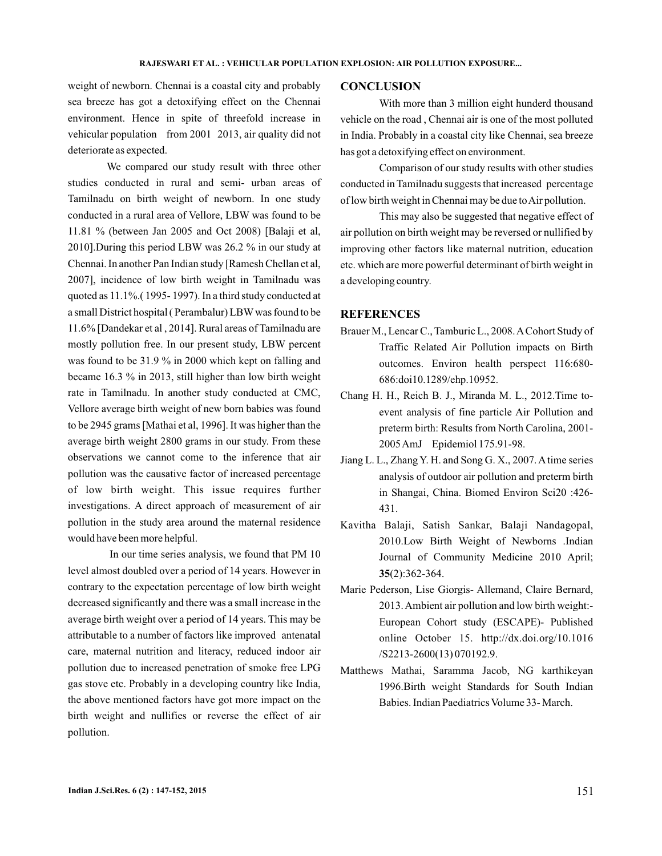weight of newborn. Chennai is a coastal city and probably sea breeze has got a detoxifying effect on the Chennai environment. Hence in spite of threefold increase in vehicular population from 2001 2013, air quality did not deteriorate as expected.

We compared our study result with three other studies conducted in rural and semi- urban areas of Tamilnadu on birth weight of newborn. In one study conducted in a rural area of Vellore, LBW was found to be 11.81 % (between Jan 2005 and Oct 2008) [Balaji et al, 2010].During this period LBW was 26.2 % in our study at Chennai. In another Pan Indian study [Ramesh Chellan et al, 2007], incidence of low birth weight in Tamilnadu was quoted as 11.1%.( 1995- 1997). In a third study conducted at a small District hospital ( Perambalur) LBW was found to be 11.6% [Dandekar et al , 2014]. Rural areas of Tamilnadu are mostly pollution free. In our present study, LBW percent was found to be 31.9 % in 2000 which kept on falling and became 16.3 % in 2013, still higher than low birth weight rate in Tamilnadu. In another study conducted at CMC, Vellore average birth weight of new born babies was found to be 2945 grams [Mathai et al, 1996]. It was higher than the average birth weight 2800 grams in our study. From these observations we cannot come to the inference that air pollution was the causative factor of increased percentage of low birth weight. This issue requires further investigations. A direct approach of measurement of air pollution in the study area around the maternal residence would have been more helpful.

In our time series analysis, we found that PM 10 level almost doubled over a period of 14 years. However in contrary to the expectation percentage of low birth weight decreased significantly and there was a small increase in the average birth weight over a period of 14 years. This may be attributable to a number of factors like improved antenatal care, maternal nutrition and literacy, reduced indoor air pollution due to increased penetration of smoke free LPG gas stove etc. Probably in a developing country like India, the above mentioned factors have got more impact on the birth weight and nullifies or reverse the effect of air pollution.

#### **CONCLUSION**

With more than 3 million eight hunderd thousand vehicle on the road , Chennai air is one of the most polluted in India. Probably in a coastal city like Chennai, sea breeze has got a detoxifying effect on environment.

Comparison of our study results with other studies conducted in Tamilnadu suggests that increased percentage of low birth weight in Chennai may be due toAir pollution.

This may also be suggested that negative effect of air pollution on birth weight may be reversed or nullified by improving other factors like maternal nutrition, education etc. which are more powerful determinant of birth weight in a developing country.

#### **REFERENCES**

- Brauer M., Lencar C., Tamburic L., 2008.ACohort Study of Traffic Related Air Pollution impacts on Birth outcomes. Environ health perspect 116:680- 686:doi10.1289/ehp.10952.
- Chang H. H., Reich B. J., Miranda M. L., 2012.Time toevent analysis of fine particle Air Pollution and preterm birth: Results from North Carolina, 2001- 2005AmJ Epidemiol 175.91-98.
- Jiang L. L., Zhang Y. H. and Song G. X., 2007. A time series analysis of outdoor air pollution and preterm birth in Shangai, China. Biomed Environ Sci20 :426- 431.
- Kavitha Balaji, Satish Sankar, Balaji Nandagopal, 2010.Low Birth Weight of Newborns .Indian Journal of Community Medicine 2010 April; (2):362-364. **35**
- Marie Pederson, Lise Giorgis- Allemand, Claire Bernard, 2013. Ambient air pollution and low birth weight:- European Cohort study (ESCAPE)- Published online October 15. http://dx.doi.org/10.1016 /S2213-2600(13) 070192.9.
- Matthews Mathai, Saramma Jacob, NG karthikeyan 1996.Birth weight Standards for South Indian Babies. Indian Paediatrics Volume 33- March.